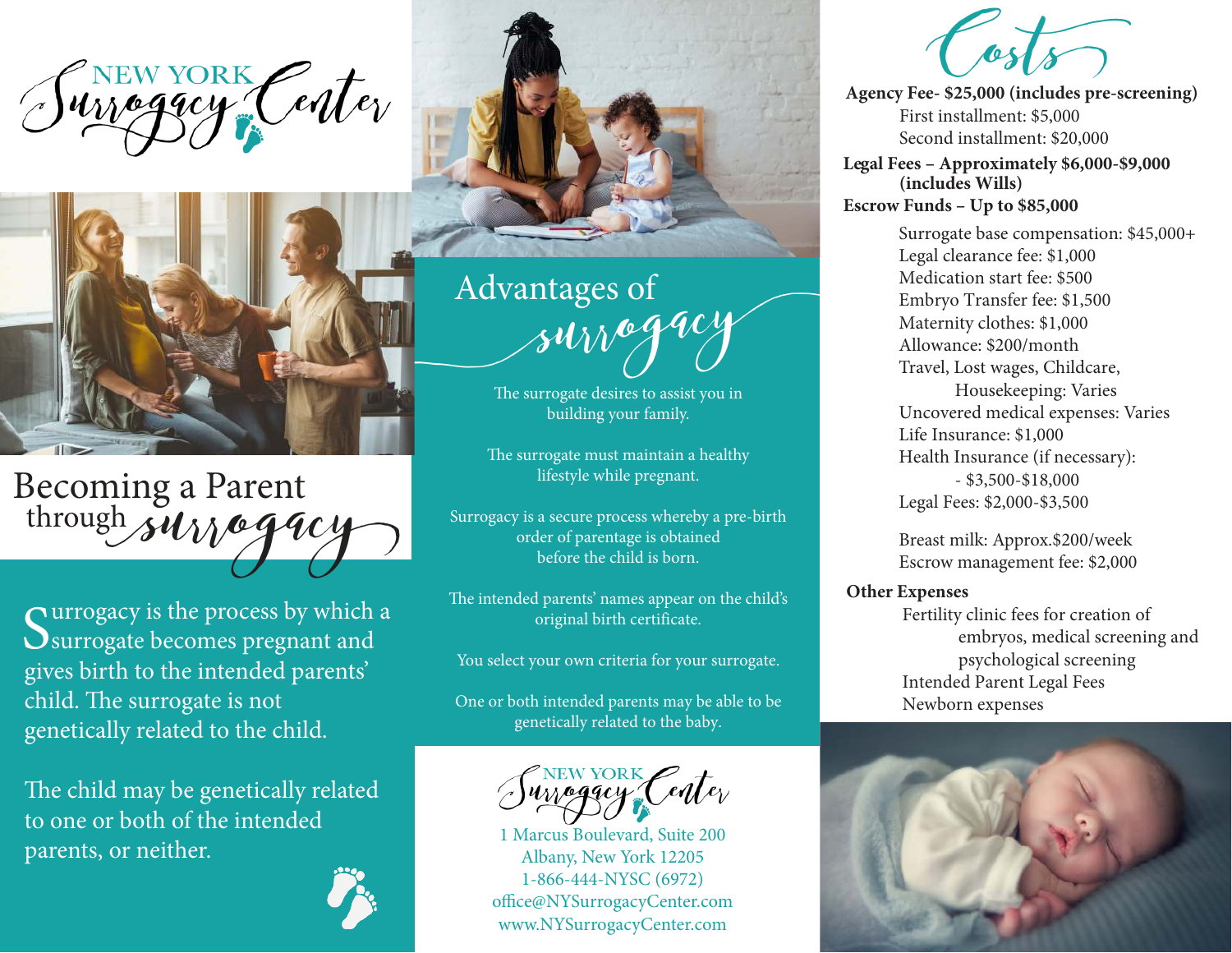NEW YORK Center



Becoming a Parent through survegacy

Surrogacy is the process by which<br>Surrogate becomes pregnant and urrogacy is the process by which a gives birth to the intended parents' child. The surrogate is not genetically related to the child.

The child may be genetically related to one or both of the intended parents, or neither.



Advantages of<br>Alw<sup>64404</sup>

 The surrogate desires to assist you in building your family.

The surrogate must maintain a healthy lifestyle while pregnant.

Surrogacy is a secure process whereby a pre-birth order of parentage is obtained before the child is born.

The intended parents' names appear on the child's original birth certificate.

You select your own criteria for your surrogate.

One or both intended parents may be able to be genetically related to the baby.



1 Marcus Boulevard, Suite 200 Albany, New York 12205 1-866-444-NYSC (6972) office@NYSurrogacyCenter.com www.NYSurrogacyCenter.com

Costs **Agency Fee- \$25,000 (includes pre-screening)**

First installment: \$5,000 Second installment: \$20,000

**Le gal Fees – Approximately \$6,000-\$9,000 (includes Wills) Escrow Funds – Up to \$85,000**

> Surrogate base compensation: \$45,000+ Legal clearance fee: \$1,000 Medication start fee: \$500 Embryo Transfer fee: \$1,500 Maternity clothes: \$1,000 Allowance: \$200/month Travel, Lost wages, Childcare, Housekeeping: Varies Uncovered medical expenses: Varies Life Insurance: \$1,000 Health Insurance (if necessary): - \$3,500-\$18,000 Legal Fees: \$2,000-\$3,500

Breast milk: Approx.\$200/week Escrow management fee: \$2,000

#### **Other Expenses**

Fertility clinic fees for creation of embryos, medical screening and psychological screening Intended Parent Legal Fees Newborn expenses